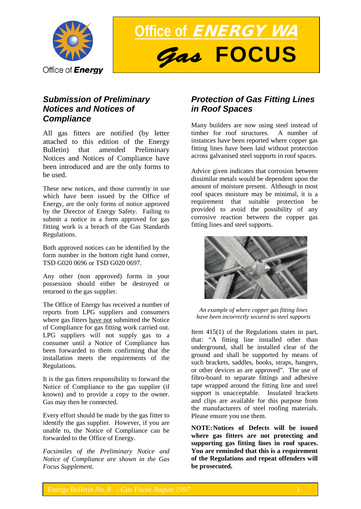

**Office of** ENERGY WA *Gas* **FOCUS**

## *Submission of Preliminary Notices and Notices of Compliance*

All gas fitters are notified (by letter attached to this edition of the Energy Bulletin) that amended Preliminary Notices and Notices of Compliance have been introduced and are the only forms to be used.

These new notices, and those currently in use which have been issued by the Office of Energy, are the only forms of notice approved by the Director of Energy Safety. Failing to submit a notice in a form approved for gas fitting work is a breach of the Gas Standards Regulations.

Both approved notices can be identified by the form number in the bottom right hand corner, TSD G020 0696 or TSD G020 0697.

Any other (non approved) forms in your possession should either be destroyed or returned to the gas supplier.

The Office of Energy has received a number of reports from LPG suppliers and consumers where gas fitters have not submitted the Notice of Compliance for gas fitting work carried out. LPG suppliers will not supply gas to a consumer until a Notice of Compliance has been forwarded to them confirming that the installation meets the requirements of the Regulations.

It is the gas fitters responsibility to forward the Notice of Compliance to the gas supplier (if known) and to provide a copy to the owner. Gas may then be connected.

Every effort should be made by the gas fitter to identify the gas supplier. However, if you are unable to, the Notice of Compliance can be forwarded to the Office of Energy.

*Facsimiles of the Preliminary Notice and Notice of Compliance are shown in the Gas Focus Supplement.*

# *Protection of Gas Fitting Lines in Roof Spaces*

Many builders are now using steel instead of timber for roof structures. A number of instances have been reported where copper gas fitting lines have been laid without protection across galvanised steel supports in roof spaces.

Advice given indicates that corrosion between dissimilar metals would be dependent upon the amount of moisture present. Although in most roof spaces moisture may be minimal, it is a requirement that suitable protection be provided to avoid the possibility of any corrosive reaction between the copper gas fitting lines and steel supports.



*An example of where copper gas fitting lines have been incorrectly secured to steel supports*

Item 415(1) of the Regulations states in part, that: "A fitting line installed other than underground, shall be installed clear of the ground and shall be supported by means of such brackets, saddles, hooks, straps, hangers, or other devices as are approved". The use of fibro-board to separate fittings and adhesive tape wrapped around the fitting line and steel support is unacceptable. Insulated brackets and clips are available for this purpose from the manufacturers of steel roofing materials. Please ensure you use them.

**NOTE:Notices of Defects will be issued where gas fitters are not protecting and supporting gas fitting lines in roof spaces. You are reminded that this is a requirement of the Regulations and repeat offenders will be prosecuted.**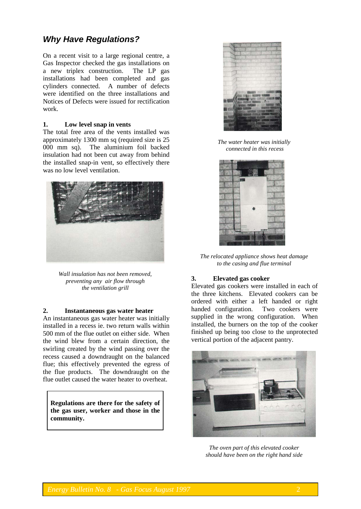# *Why Have Regulations?*

On a recent visit to a large regional centre, a Gas Inspector checked the gas installations on a new triplex construction. The LP gas installations had been completed and gas cylinders connected. A number of defects were identified on the three installations and Notices of Defects were issued for rectification work.

#### **1. Low level snap in vents**

The total free area of the vents installed was approximately 1300 mm sq (required size is 25 000 mm sq). The aluminium foil backed insulation had not been cut away from behind the installed snap-in vent, so effectively there was no low level ventilation.



*Wall insulation has not been removed, preventing any air flow through the ventilation grill*

### **2. Instantaneous gas water heater**

An instantaneous gas water heater was initially installed in a recess ie. two return walls within 500 mm of the flue outlet on either side. When the wind blew from a certain direction, the swirling created by the wind passing over the recess caused a downdraught on the balanced flue; this effectively prevented the egress of the flue products. The downdraught on the flue outlet caused the water heater to overheat.

**Regulations are there for the safety of the gas user, worker and those in the community.**



*The water heater was initially connected in this recess*



*The relocated appliance shows heat damage to the casing and flue terminal*

#### **3. Elevated gas cooker**

Elevated gas cookers were installed in each of the three kitchens. Elevated cookers can be ordered with either a left handed or right handed configuration. Two cookers were supplied in the wrong configuration. When installed, the burners on the top of the cooker finished up being too close to the unprotected vertical portion of the adjacent pantry.



*The oven part of this elevated cooker should have been on the right hand side*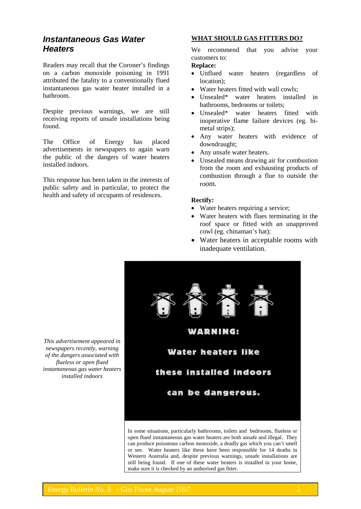## *Instantaneous Gas Water Heaters*

Readers may recall that the Coroner's findings on a carbon monoxide poisoning in 1991 attributed the fatality to a conventionally flued instantaneous gas water heater installed in a bathroom.

Despite previous warnings, we are still receiving reports of unsafe installations being found.

The Office of Energy has placed advertisements in newspapers to again warn the public of the dangers of water heaters installed indoors.

This response has been taken in the interests of public safety and in particular, to protect the health and safety of occupants of residences.

## **WHAT SHOULD GAS FITTERS DO?**

We recommend that you advise your customers to:

## **Replace:**

- Unflued water heaters (regardless of location);
- Water heaters fitted with wall cowls;
- Unsealed\* water heaters installed in bathrooms, bedrooms or toilets;
- Unsealed\* water heaters fitted with inoperative flame failure devices (eg. bimetal strips);
- Any water heaters with evidence of downdraught;
- Any unsafe water heaters.
- Unsealed means drawing air for combustion from the room and exhausting products of combustion through a flue to outside the room.

#### **Rectify:**

- Water heaters requiring a service;
- Water heaters with flues terminating in the roof space or fitted with an unapproved cowl (eg. chinaman's hat);
- Water heaters in acceptable rooms with inadequate ventilation.



open flued instantaneous gas water heaters are both unsafe and illegal. They can produce poisonous carbon monoxide, a deadly gas which you can't smell or see. Water heaters like these have been responsible for 14 deaths in Western Australia and, despite previous warnings, unsafe installations are still being found. If one of these water heaters is installed in your home, make sure it is checked by an authorised gas fitter.

*This advertisement appeared in newspapers recently, warning of the dangers associated with flueless or open flued instantaneous gas water heaters installed indoors*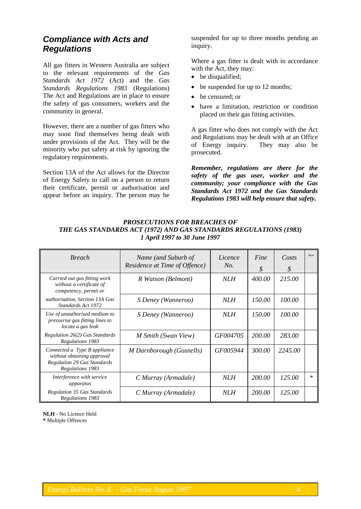## *Compliance with Acts and Regulations*

All gas fitters in Western Australia are subject to the relevant requirements of the *Gas Standards Act 1972* (Act) and the *Gas Standards Regulations 1983* (Regulations) The Act and Regulations are in place to ensure the safety of gas consumers, workers and the community in general.

However, there are a number of gas fitters who may soon find themselves being dealt with under provisions of the Act. They will be the minority who put safety at risk by ignoring the regulatory requirements.

Section 13A of the Act allows for the Director of Energy Safety to call on a person to return their certificate, permit or authorisation and appear before an inquiry. The person may be suspended for up to three months pending an inquiry.

Where a gas fitter is dealt with in accordance with the Act, they may:

- be disqualified;
- be suspended for up to 12 months;
- be censured; or
- have a limitation, restriction or condition placed on their gas fitting activities.

A gas fitter who does not comply with the Act and Regulations may be dealt with at an Office<br>of Energy inquiry. They may also be of Energy inquiry. prosecuted.

*Remember, regulations are there for the safety of the gas user, worker and the community; your compliance with the Gas Standards Act 1972 and the Gas Standards Regulations 1983 will help ensure that safety.*

## *PROSECUTIONS FOR BREACHES OF THE GAS STANDARDS ACT (1972) AND GAS STANDARDS REGULATIONS (1983) 1 April 1997 to 30 June 1997*

| <b>Breach</b>                                                                                                        | Name (and Suburb of<br>Residence at Time of Offence) | Licence<br>No. | Fine<br>S | Costs<br>S | Note    |
|----------------------------------------------------------------------------------------------------------------------|------------------------------------------------------|----------------|-----------|------------|---------|
| Carried out gas fitting work<br>without a certificate of<br>competency, permit or                                    | R Watson (Belmont)                                   | NLH            | 400.00    | 215.00     |         |
| authorisation, Section 13A Gas<br>Standards Act 1972                                                                 | S Deney (Wanneroo)                                   | NLH            | 150.00    | 100.00     |         |
| Use of unauthorised medium to<br>pressurise gas fitting lines to<br>locate a gas leak                                | S Deney (Wanneroo)                                   | NLH            | 150.00    | 100.00     |         |
| Regulation 26(2) Gas Standards<br>Regulations 1983                                                                   | M Smith (Swan View)                                  | GF004705       | 200.00    | 283.00     |         |
| Connected a Type B appliance<br>without obtaining approval<br><b>Regulation 29 Gas Standards</b><br>Regulations 1983 | M Darnborough (Gosnells)                             | GF005944       | 300.00    | 2245.00    |         |
| Interference with service<br>apparatus                                                                               | C Murray (Armadale)                                  | NLH            | 200.00    | 125.00     | $^\ast$ |
| <b>Regulation 35 Gas Standards</b><br>Regulations 1983                                                               | C Murray (Armadale)                                  | NLH            | 200.00    | 125.00     |         |

**NLH** - No Licence Held **\*** Multiple Offences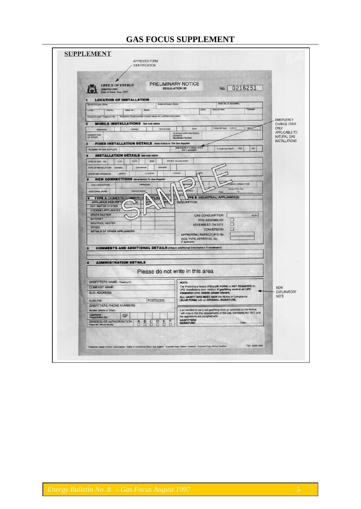# **GAS FOCUS SUPPLEMENT**

| <b>OFFICE OF ENERGY</b><br>Approved form<br>Date of Issue: June 1997.                                               | PRELIMINARY NOTICE<br>0216251<br>No.<br><b>REGULATION 20</b>                                                                                                   |
|---------------------------------------------------------------------------------------------------------------------|----------------------------------------------------------------------------------------------------------------------------------------------------------------|
| <b>LOCATION OF INSTALLATION</b>                                                                                     |                                                                                                                                                                |
| <b>Builders/Dealers Name</b><br><b>Owner/Occupier Name</b><br>Sweet No.<br>Unit No.<br>Street<br>Lot No.            | Mater No. (if applicable).<br>Postcode<br><b>Baltiste Town</b><br>Suttle                                                                                       |
| DenecrOccupier Telephone No: Directions: Please provide (nearest comer etc.) sufficient information                 | <b>EMERGENCY</b>                                                                                                                                               |
| <b>MOBILE INSTALLATIONS</b> See note below                                                                          | CHANGE OVER                                                                                                                                                    |
| <b>Marine Craft</b><br>Caravan<br>Automotive<br>DESCRIPTION                                                         | TYPE OF GAS LPG<br>H2<br>ONLY<br>Other<br>APPLICABLE TO<br>VEHICLE/CARAVANYESSEL                                                                               |
| FIXED INSTALLATION DETAILS Send Notice to The Gas Supplier<br>з                                                     | License or<br>Identification Number:<br>NATURAL GAS<br><b>INSTALLATIONS</b>                                                                                    |
| TO (NAME OF GAS SUPPLIER)                                                                                           | EMERGENCY CHANGE OVER<br>NO<br><b>YES</b><br>to mater box filted?<br>(bok it applicable)                                                                       |
| <b>INSTALLATION DETAILS</b> See note below                                                                          |                                                                                                                                                                |
| TUPG.<br>SNG<br>TYPE OF GAS NO<br><b>LPG</b><br>Industrial<br>Commercial<br><b>TYPE OF INSTALLATION</b><br>Domestic | <b>OTHER Provide details</b>                                                                                                                                   |
| 2.75 KPA<br>1.25 KPA<br>OPERATING PRESIDUNE                                                                         | OTHER                                                                                                                                                          |
| <b>NEW CONNECTIONS</b> Send Notice To Gas Supplies                                                                  |                                                                                                                                                                |
| PREVIORI<br>NEW CONNECTION.                                                                                         | <b>LANCE CONNECTION</b><br><b>ISSK</b><br><b>Efection of Oaks Type</b>                                                                                         |
| <b>REPAIR WORK</b><br>ADDITIONAL WORK                                                                               | <b>TURKED</b><br>To:<br>From<br>PE B (INDUSTRIAL) APPLIANCE(S)                                                                                                 |
| <b>PELIA</b><br>TYPE A (DOMESTIC/COMMERCIA<br>١A<br><b>B</b><br>J/F<br><b>APPLIANCE DESCRIPT</b><br>b.              | <b>SCRIPTION:</b>                                                                                                                                              |
| HOT WATER SYSTEM<br><b>COOKING APPLIANCES</b>                                                                       |                                                                                                                                                                |
| <b>SPACE HEATER</b><br><b>BAYONET</b>                                                                               | <b>GAS CONSUMPTION</b><br><b>MJ/Hr</b><br>PRE-ASSEMBLED                                                                                                        |
| <b>SPA/POOL HEATER</b><br><b>OTHER</b>                                                                              | о<br>ASSEMBLED ON SITE                                                                                                                                         |
| <b>DETAILS OF OTHER APPLIANCES:</b>                                                                                 | p.<br><b>CONVERSION</b><br>APPROVING INSPECTOR'S No.                                                                                                           |
|                                                                                                                     | OOE TYPE APPROVAL No.<br>(if applicable)                                                                                                                       |
| <b>COMMENTS AND ADDITIONAL DETAILS (Attach additional information if necessary)</b><br>R                            |                                                                                                                                                                |
|                                                                                                                     |                                                                                                                                                                |
| <b>ADMINISTRATION DETAILS</b>                                                                                       |                                                                                                                                                                |
|                                                                                                                     | Please do not write in this area                                                                                                                               |
| <b>GASFITTERS NAME: Please print</b>                                                                                | NOTE:                                                                                                                                                          |
| <b>COMPANY NAME:</b>                                                                                                | The Preliminary Notice (YELLOW FORM) is NOT REQUIRED for<br><b>NEW</b><br>LPG Installations (incl. mobile). If gasfitting work is an LPG<br><b>EXPLANATORY</b> |
| <b>BUS, ADDRESS:</b>                                                                                                | Installation (incl. mobile) please discard.<br><b>NOTE</b><br>ALL GASFITTERS MUST SIGN the Notice of Compliance                                                |
| POSTCODE:<br>SUBURB:<br><b>GASFITTERS PHONE NUMBERS:</b>                                                            | (BLUE FORM) with an ORIGINAL SIGNATURE.                                                                                                                        |
| Number (Mobile or Other)<br>Gasfitters                                                                              | It is intended to carry out gasfitting work as specified on the Notice.<br>I will ensure that the requirements of the Gas Standards Act 1972 and               |
| $\mathsf{GF}% _{\mathcal{F}}$<br>Registration No.:<br>C<br>D<br>Ε<br><b>GRADE(S) OF AUTHORISATION:</b><br>Ą<br>B    | 1952<br><b>GASFITTERS</b>                                                                                                                                      |
| ο<br>n<br>O<br>$\Box$<br>П<br>Please Sck relevant box(es)<br>Ð                                                      | Dato:<br><b>SIGNATURE:</b>                                                                                                                                     |